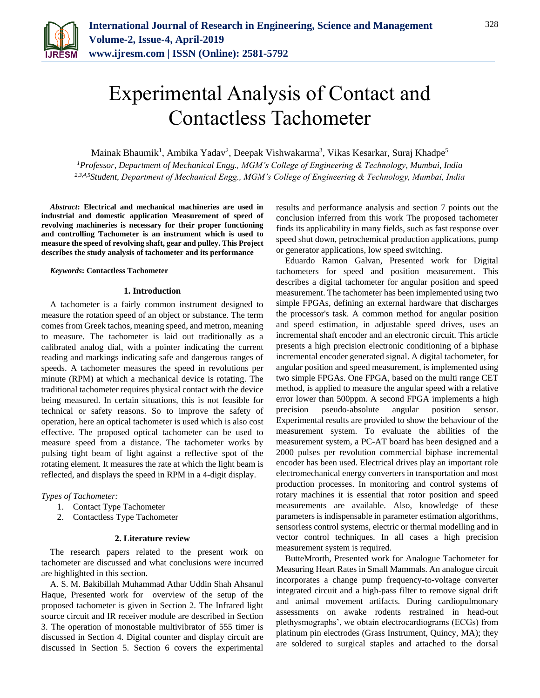

# Experimental Analysis of Contact and Contactless Tachometer

Mainak Bhaumik<sup>1</sup>, Ambika Yadav<sup>2</sup>, Deepak Vishwakarma<sup>3</sup>, Vikas Kesarkar, Suraj Khadpe<sup>5</sup> *<sup>1</sup>Professor, Department of Mechanical Engg., MGM's College of Engineering & Technology, Mumbai, India*

*2,3,4,5Student, Department of Mechanical Engg., MGM's College of Engineering & Technology, Mumbai, India*

*Abstract***: Electrical and mechanical machineries are used in industrial and domestic application Measurement of speed of revolving machineries is necessary for their proper functioning and controlling Tachometer is an instrument which is used to measure the speed of revolving shaft, gear and pulley. This Project describes the study analysis of tachometer and its performance**

### *Keywords***: Contactless Tachometer**

#### **1. Introduction**

A tachometer is a fairly common instrument designed to measure the rotation speed of an object or substance. The term comes from Greek tachos, meaning speed, and metron, meaning to measure. The tachometer is laid out traditionally as a calibrated analog dial, with a pointer indicating the current reading and markings indicating safe and dangerous ranges of speeds. A tachometer measures the speed in revolutions per minute (RPM) at which a mechanical device is rotating. The traditional tachometer requires physical contact with the device being measured. In certain situations, this is not feasible for technical or safety reasons. So to improve the safety of operation, here an optical tachometer is used which is also cost effective. The proposed optical tachometer can be used to measure speed from a distance. The tachometer works by pulsing tight beam of light against a reflective spot of the rotating element. It measures the rate at which the light beam is reflected, and displays the speed in RPM in a 4-digit display.

# *Types of Tachometer:*

- 1. Contact Type Tachometer
- 2. Contactless Type Tachometer

# **2. Literature review**

The research papers related to the present work on tachometer are discussed and what conclusions were incurred are highlighted in this section.

A. S. M. Bakibillah Muhammad Athar Uddin Shah Ahsanul Haque, Presented work for overview of the setup of the proposed tachometer is given in Section 2. The Infrared light source circuit and IR receiver module are described in Section 3. The operation of monostable multivibrator of 555 timer is discussed in Section 4. Digital counter and display circuit are discussed in Section 5. Section 6 covers the experimental

results and performance analysis and section 7 points out the conclusion inferred from this work The proposed tachometer finds its applicability in many fields, such as fast response over speed shut down, petrochemical production applications, pump or generator applications, low speed switching.

Eduardo Ramon Galvan, Presented work for Digital tachometers for speed and position measurement. This describes a digital tachometer for angular position and speed measurement. The tachometer has been implemented using two simple FPGAs, defining an external hardware that discharges the processor's task. A common method for angular position and speed estimation, in adjustable speed drives, uses an incremental shaft encoder and an electronic circuit. This article presents a high precision electronic conditioning of a biphase incremental encoder generated signal. A digital tachometer, for angular position and speed measurement, is implemented using two simple FPGAs. One FPGA, based on the multi range CET method, is applied to measure the angular speed with a relative error lower than 500ppm. A second FPGA implements a high precision pseudo-absolute angular position sensor. Experimental results are provided to show the behaviour of the measurement system. To evaluate the abilities of the measurement system, a PC-AT board has been designed and a 2000 pulses per revolution commercial biphase incremental encoder has been used. Electrical drives play an important role electromechanical energy converters in transportation and most production processes. In monitoring and control systems of rotary machines it is essential that rotor position and speed measurements are available. Also, knowledge of these parameters is indispensable in parameter estimation algorithms, sensorless control systems, electric or thermal modelling and in vector control techniques. In all cases a high precision measurement system is required.

ButteMrorth, Presented work for Analogue Tachometer for Measuring Heart Rates in Small Mammals. An analogue circuit incorporates a change pump frequency-to-voltage converter integrated circuit and a high-pass filter to remove signal drift and animal movement artifacts. During cardiopulmonary assessments on awake rodents restrained in head-out plethysmographs', we obtain electrocardiograms (ECGs) from platinum pin electrodes (Grass Instrument, Quincy, MA); they are soldered to surgical staples and attached to the dorsal